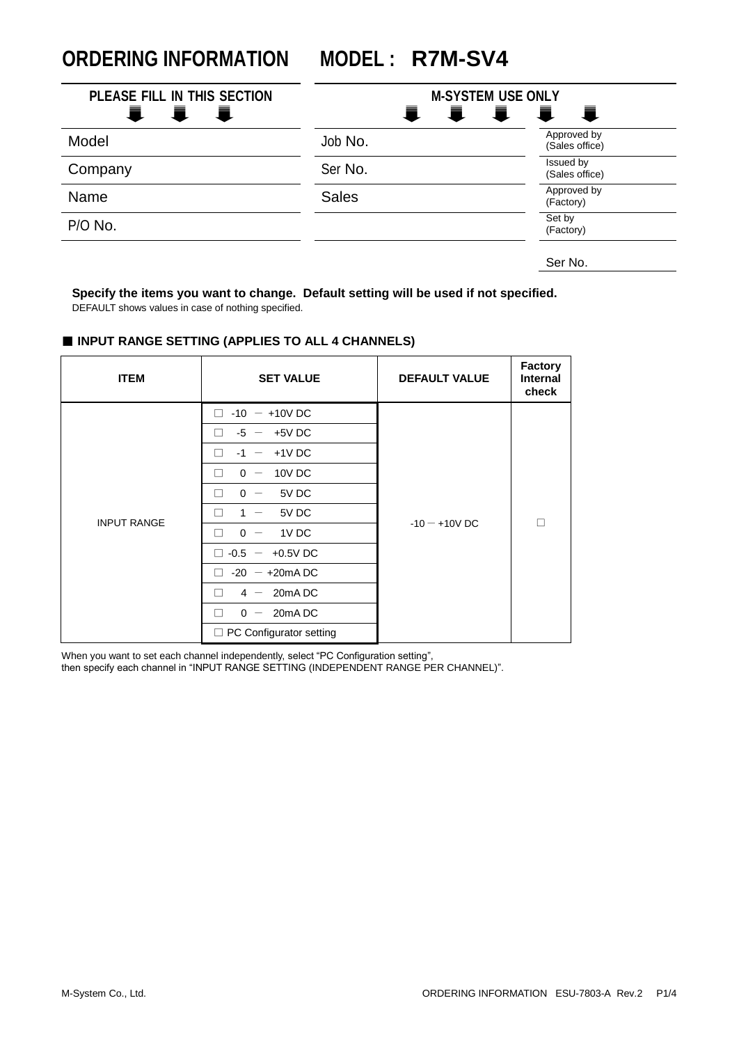**ORDERING INFORMATION MODEL : R7M-SV4**

| PLEASE FILL IN THIS SECTION<br>量<br>一章<br>Ħ | <b>M-SYSTEM USE ONLY</b><br>i.<br>■ | 量<br>量<br>一直                  |
|---------------------------------------------|-------------------------------------|-------------------------------|
| Model                                       | Job No.                             | Approved by<br>(Sales office) |
| Company                                     | Ser No.                             | Issued by<br>(Sales office)   |
| Name                                        | <b>Sales</b>                        | Approved by<br>(Factory)      |
| P/O No.                                     |                                     | Set by<br>(Factory)           |
|                                             |                                     | Ser No.                       |

**Specify the items you want to change. Default setting will be used if not specified.** DEFAULT shows values in case of nothing specified.

#### ■ **INPUT RANGE SETTING (APPLIES TO ALL 4 CHANNELS)**

| <b>ITEM</b>        | <b>SET VALUE</b>                                       | <b>DEFAULT VALUE</b> | Factory<br><b>Internal</b><br>check |
|--------------------|--------------------------------------------------------|----------------------|-------------------------------------|
|                    | $-10 - +10V$ DC<br>П                                   |                      |                                     |
|                    | $-5 -$<br>$+5V$ DC<br>П                                |                      |                                     |
|                    | $+1V$ DC<br>$-1 -$<br>П                                |                      |                                     |
|                    | 10V DC<br>$0 -$<br>$\mathbf{I}$                        | $-10 - +10V$ DC      | □                                   |
|                    | 5V DC<br>$\mathbf{0}$<br>П<br>$\overline{\phantom{m}}$ |                      |                                     |
| <b>INPUT RANGE</b> | 5V DC<br>$\overline{\phantom{m}}$                      |                      |                                     |
|                    | 1V DC<br>$0 -$<br>П                                    |                      |                                     |
|                    | $-0.5 - +0.5V$ DC<br>$\Box$                            |                      |                                     |
|                    | $-20 - +20$ mADC<br>п                                  |                      |                                     |
|                    | 20mA DC<br>$4 -$<br>П                                  |                      |                                     |
|                    | 20mA DC<br>$0 -$                                       |                      |                                     |
|                    | □ PC Configurator setting                              |                      |                                     |

When you want to set each channel independently, select "PC Configuration setting",

then specify each channel in "INPUT RANGE SETTING (INDEPENDENT RANGE PER CHANNEL)".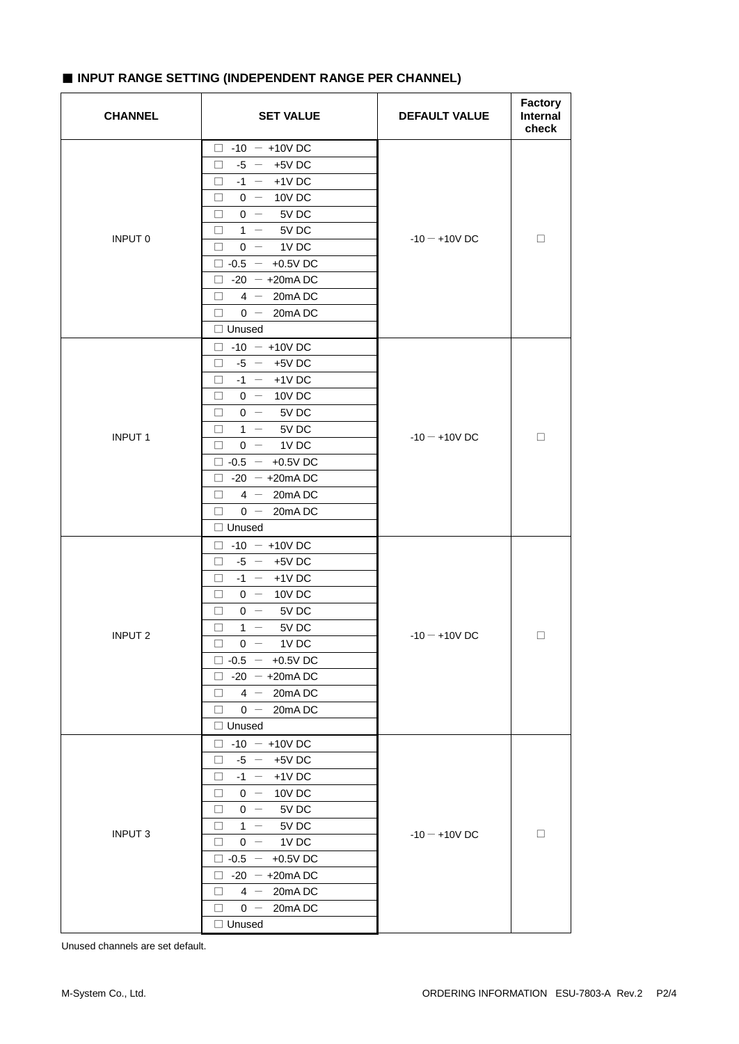# ■ **INPUT RANGE SETTING (INDEPENDENT RANGE PER CHANNEL)**

| <b>CHANNEL</b> | <b>SET VALUE</b>                             | <b>DEFAULT VALUE</b> | <b>Factory</b><br>Internal<br>check |
|----------------|----------------------------------------------|----------------------|-------------------------------------|
|                | $\Box$ -10 - +10V DC                         |                      |                                     |
|                | $-5 - +5VDC$<br>П                            |                      |                                     |
|                | $\Box$<br>$-1 - 1VDC$                        |                      |                                     |
|                | $0 - 10V$ DC<br>□                            |                      |                                     |
|                | 5V DC<br>□<br>$0 -$                          |                      |                                     |
| <b>INPUT 0</b> | $\Box$<br>$1 - 5VDC$                         | $-10 - +10V$ DC      | $\Box$                              |
|                | $0 - 1VDC$<br>□                              |                      |                                     |
|                | $\Box$ -0.5 - +0.5V DC                       |                      |                                     |
|                | $\Box$ -20 - +20mA DC                        |                      |                                     |
|                | $4 - 20m$ ADC<br>$\Box$                      |                      |                                     |
|                | $0 - 20$ mADC<br>П                           |                      |                                     |
|                | $\Box$ Unused                                |                      |                                     |
|                | $\Box$ -10 - +10V DC                         |                      |                                     |
|                | □<br>$-5 - +5VDC$                            |                      |                                     |
|                | $-1 - 1VDC$<br>□                             |                      |                                     |
|                | $0 - 10V$ DC<br>□                            |                      |                                     |
|                | $0 -$<br>$\Box$<br>5V DC                     |                      |                                     |
| <b>INPUT 1</b> | $1 - 5VDC$<br>$\Box$                         | $-10 - +10V$ DC      | $\Box$                              |
|                | $\Box$<br>$0 - 1VDC$                         |                      |                                     |
|                | $\Box$ -0.5 - +0.5V DC                       |                      |                                     |
|                | $-20 - 120$ mA DC<br>$\Box$                  |                      |                                     |
|                | $4 - 20$ mADC<br>$\Box$                      |                      |                                     |
|                | $0 - 20$ mADC<br>□                           |                      |                                     |
|                | $\Box$ Unused                                |                      |                                     |
|                | $\Box$ -10 - +10V DC                         |                      |                                     |
|                | $-5 - +5VDC$<br>□<br>$+1V$ DC<br>$-1 =$<br>□ |                      |                                     |
|                | $0 -$<br>10V DC<br>□                         |                      |                                     |
|                | $\Box$<br>$0 - 5VDC$                         |                      |                                     |
|                | $1 -$<br>5V DC<br>□                          |                      |                                     |
| <b>INPUT 2</b> | 1V <sub>DC</sub><br>$\Box$<br>$0 -$          | $-10 - +10V$ DC      | $\Box$                              |
|                | $\Box$ -0.5 $-$ +0.5V DC                     |                      |                                     |
|                | $\Box$ -20 - +20mA DC                        |                      |                                     |
|                | $4 - 20$ mADC<br>П                           |                      |                                     |
|                | $0 - 20$ mADC<br>$\Box$                      |                      |                                     |
|                | $\Box$ Unused                                |                      |                                     |
|                | $\Box$ -10 - +10V DC                         |                      |                                     |
|                | $-5 - +5VDC$<br>□                            |                      |                                     |
|                | $\Box$<br>$-1 - 1VDC$                        |                      |                                     |
|                | $0 - 10V$ DC<br>□                            |                      |                                     |
|                | $\Box$<br>$0 - 5VDC$                         |                      |                                     |
|                | □<br>$1 - 5VDC$                              |                      |                                     |
| <b>INPUT 3</b> | $0 - 1VDC$<br>$\Box$                         | $-10 - +10V$ DC      | $\Box$                              |
|                | $\Box$ -0.5 - +0.5V DC                       |                      |                                     |
|                | $\Box$ -20 - +20mA DC                        |                      |                                     |
|                | $\Box$<br>$4 - 20$ m $A$ DC                  |                      |                                     |
|                | $\Box$ 0 - 20mADC                            |                      |                                     |
|                | $\Box$ Unused                                |                      |                                     |

Unused channels are set default.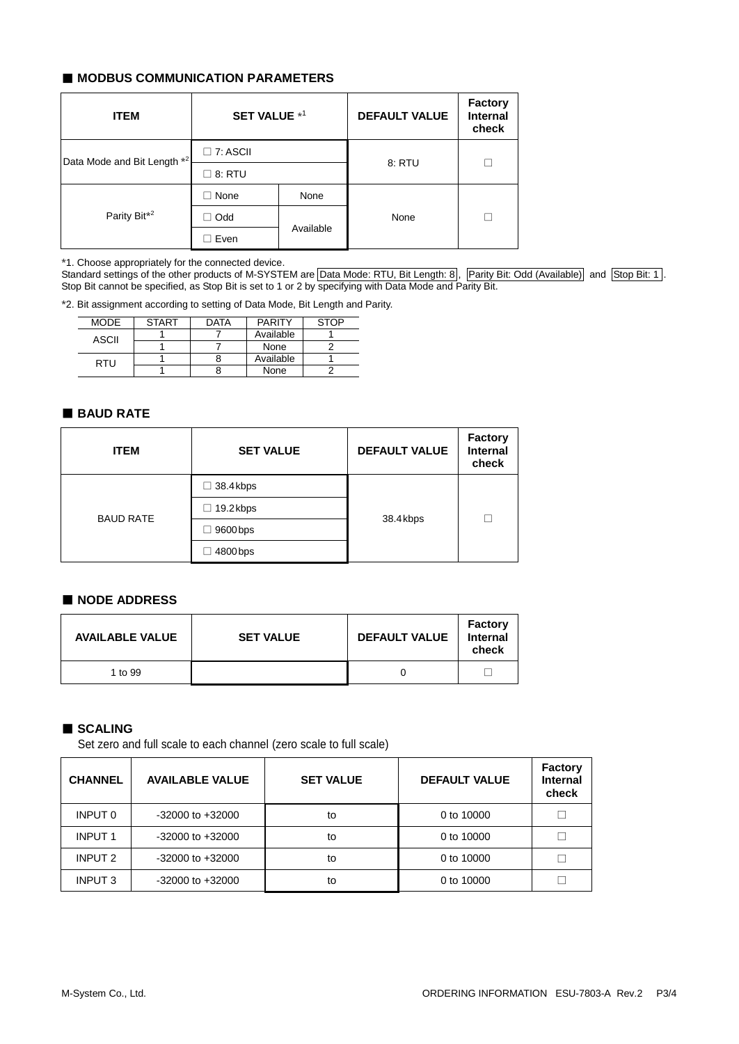## ■ **MODBUS COMMUNICATION PARAMETERS**

| <b>ITEM</b>                 | <b>SET VALUE *1</b> |           | <b>DEFAULT VALUE</b> | <b>Factory</b><br><b>Internal</b><br>check |
|-----------------------------|---------------------|-----------|----------------------|--------------------------------------------|
| Data Mode and Bit Length *2 | $\Box$ 7: ASCII     |           |                      | П                                          |
|                             | 8: RTU              |           | 8: RTU               |                                            |
|                             | None                | None      |                      |                                            |
| Parity Bit <sup>*2</sup>    | Odd                 | None      | П                    |                                            |
|                             | Even                | Available |                      |                                            |

\*1. Choose appropriately for the connected device.

Standard settings of the other products of M-SYSTEM are Data Mode: RTU, Bit Length: 8, Parity Bit: Odd (Available) and Stop Bit: 1. Stop Bit cannot be specified, as Stop Bit is set to 1 or 2 by specifying with Data Mode and Parity Bit.

\*2. Bit assignment according to setting of Data Mode, Bit Length and Parity.

| MODE       | <b>START</b> | <b>DATA</b> | <b>PARITY</b> | <b>STOP</b> |
|------------|--------------|-------------|---------------|-------------|
| ASCII      |              |             | Available     |             |
|            |              |             | None          |             |
| <b>RTU</b> |              |             | Available     |             |
|            |              |             | None          |             |

## ■ **BAUD RATE**

| <b>ITEM</b>      | <b>SET VALUE</b> | <b>DEFAULT VALUE</b> | <b>Factory</b><br>Internal<br>check |
|------------------|------------------|----------------------|-------------------------------------|
|                  | $\Box$ 38.4 kbps |                      |                                     |
| <b>BAUD RATE</b> | $\Box$ 19.2 kbps | 38.4 kbps            |                                     |
|                  | 9600 bps         |                      |                                     |
|                  | 4800 bps         |                      |                                     |

### ■ **NODE ADDRESS**

| <b>AVAILABLE VALUE</b> | <b>SET VALUE</b> | <b>DEFAULT VALUE</b> | Factory<br>Internal<br>check |
|------------------------|------------------|----------------------|------------------------------|
| 1 to 99                |                  |                      |                              |

## ■ **SCALING**

Set zero and full scale to each channel (zero scale to full scale)

| <b>CHANNEL</b> | <b>AVAILABLE VALUE</b> | <b>SET VALUE</b> | <b>DEFAULT VALUE</b> | <b>Factory</b><br><b>Internal</b><br>check |
|----------------|------------------------|------------------|----------------------|--------------------------------------------|
| INPUT 0        | $-32000$ to $+32000$   | to               | 0 to 10000           |                                            |
| <b>INPUT1</b>  | $-32000$ to $+32000$   | to               | 0 to 10000           |                                            |
| <b>INPUT 2</b> | $-32000$ to $+32000$   | to               | 0 to 10000           |                                            |
| <b>INPUT 3</b> | $-32000$ to $+32000$   | to               | 0 to 10000           |                                            |